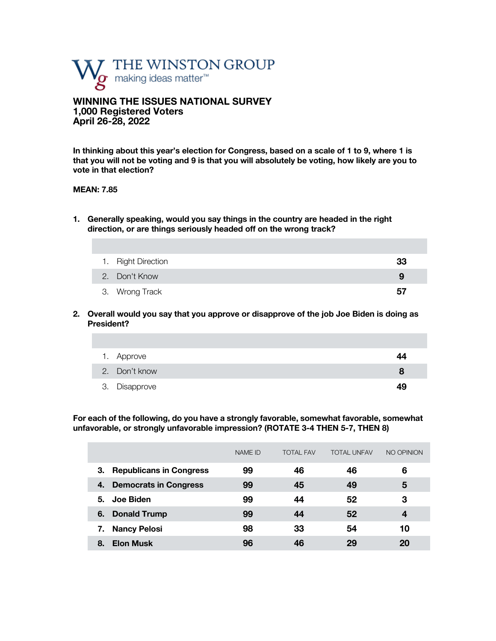

**WINNING THE ISSUES NATIONAL SURVEY 1,000 Registered Voters April 26-28, 2022**

**In thinking about this year's election for Congress, based on a scale of 1 to 9, where 1 is that you will not be voting and 9 is that you will absolutely be voting, how likely are you to vote in that election?**

### **MEAN: 7.85**

**1. Generally speaking, would you say things in the country are headed in the right direction, or are things seriously headed off on the wrong track?** 

| 1. Right Direction | 33 |
|--------------------|----|
| 2. Don't Know      | 9  |
| 3. Wrong Track     | 57 |

**2. Overall would you say that you approve or disapprove of the job Joe Biden is doing as President?**

| 1. Approve    | 44 |
|---------------|----|
| 2. Don't know |    |
| 3. Disapprove | 49 |

**For each of the following, do you have a strongly favorable, somewhat favorable, somewhat unfavorable, or strongly unfavorable impression? (ROTATE 3-4 THEN 5-7, THEN 8)**

|                                      | NAME ID | <b>TOTAL FAV</b> | <b>TOTAL UNFAV</b> | NO OPINION |
|--------------------------------------|---------|------------------|--------------------|------------|
| <b>Republicans in Congress</b><br>З. | 99      | 46               | 46                 | 6          |
| <b>Democrats in Congress</b><br>4.   | 99      | 45               | 49                 | 5          |
| Joe Biden<br>5.                      | 99      | 44               | 52                 | 3          |
| <b>Donald Trump</b><br>6.            | 99      | 44               | 52                 | 4          |
| <b>Nancy Pelosi</b>                  | 98      | 33               | 54                 | 10         |
| <b>Elon Musk</b><br>8.               | 96      | 46               | 29                 | 20         |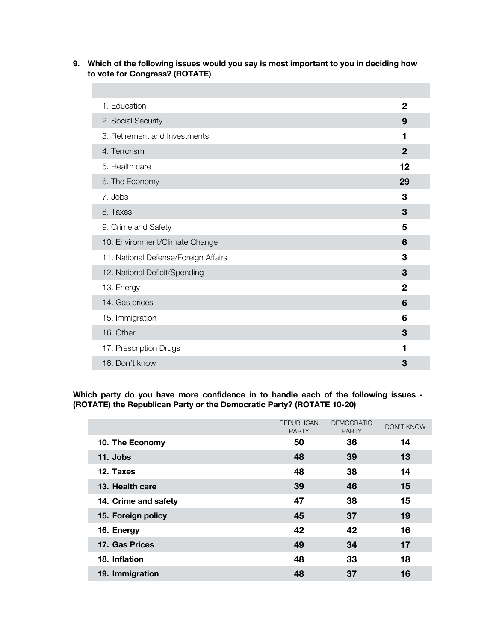**9. Which of the following issues would you say is most important to you in deciding how to vote for Congress? (ROTATE)**

| 1. Education                         | $\mathbf{2}$ |
|--------------------------------------|--------------|
| 2. Social Security                   | 9            |
| 3. Retirement and Investments        | 1            |
| 4. Terrorism                         | $\mathbf{2}$ |
| 5. Health care                       | 12           |
| 6. The Economy                       | 29           |
| 7. Jobs                              | 3            |
| 8. Taxes                             | 3            |
| 9. Crime and Safety                  | 5            |
| 10. Environment/Climate Change       | 6            |
| 11. National Defense/Foreign Affairs | 3            |
| 12. National Deficit/Spending        | 3            |
| 13. Energy                           | $\mathbf 2$  |
| 14. Gas prices                       | 6            |
| 15. Immigration                      | 6            |
| 16. Other                            | 3            |
| 17. Prescription Drugs               | 1            |
| 18. Don't know                       | 3            |

**Which party do you have more confidence in to handle each of the following issues - (ROTATE) the Republican Party or the Democratic Party? (ROTATE 10-20)**

|                      | <b>REPUBLICAN</b><br><b>PARTY</b> | <b>DEMOCRATIC</b><br><b>PARTY</b> | <b>DON'T KNOW</b> |
|----------------------|-----------------------------------|-----------------------------------|-------------------|
| 10. The Economy      | 50                                | 36                                | 14                |
| 11. Jobs             | 48                                | 39                                | 13                |
| 12. Taxes            | 48                                | 38                                | 14                |
| 13. Health care      | 39                                | 46                                | 15                |
| 14. Crime and safety | 47                                | 38                                | 15                |
| 15. Foreign policy   | 45                                | 37                                | 19                |
| 16. Energy           | 42                                | 42                                | 16                |
| 17. Gas Prices       | 49                                | 34                                | 17                |
| 18. Inflation        | 48                                | 33                                | 18                |
| 19. Immigration      | 48                                | 37                                | 16                |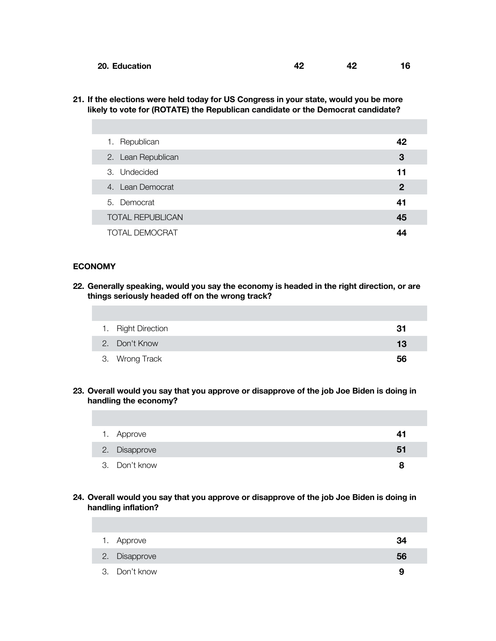| 20. Education | $\mathbf{A}^{\mathbf{c}}$ |  |
|---------------|---------------------------|--|
|               |                           |  |

**21. If the elections were held today for US Congress in your state, would you be more likely to vote for (ROTATE) the Republican candidate or the Democrat candidate?** 

| 1. Republican           | 42             |
|-------------------------|----------------|
| 2. Lean Republican      | 3              |
| 3. Undecided            | 11             |
| 4. Lean Democrat        | $\overline{2}$ |
| 5. Democrat             | 41             |
| <b>TOTAL REPUBLICAN</b> | 45             |
| TOTAL DEMOCRAT          | 44             |

## **ECONOMY**

**22. Generally speaking, would you say the economy is headed in the right direction, or are things seriously headed off on the wrong track?** 

| 1. Right Direction | 31 |
|--------------------|----|
| 2. Don't Know      | 13 |
| 3. Wrong Track     | 56 |

**23. Overall would you say that you approve or disapprove of the job Joe Biden is doing in handling the economy?**

| 1. Approve    | 41 |
|---------------|----|
| 2. Disapprove | 51 |
| 3. Don't know |    |

**24. Overall would you say that you approve or disapprove of the job Joe Biden is doing in handling inflation?**

| 1. Approve    | 34 |
|---------------|----|
| 2. Disapprove | 56 |
| 3. Don't know | 9  |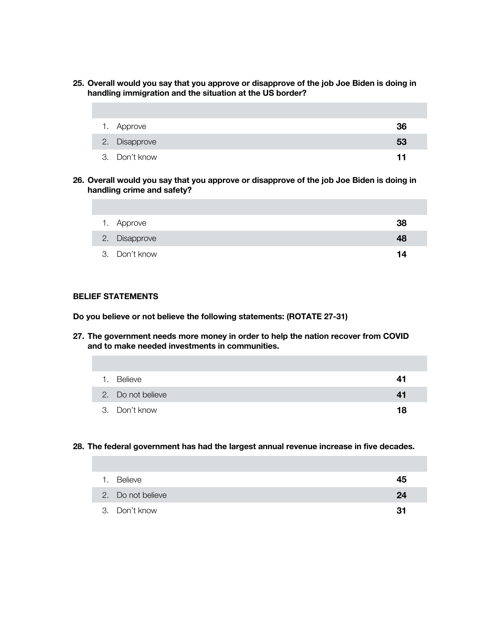**25. Overall would you say that you approve or disapprove of the job Joe Biden is doing in handling immigration and the situation at the US border?**

| 1. Approve    | 36 |
|---------------|----|
| 2. Disapprove | 53 |
| 3. Don't know | 11 |

**26. Overall would you say that you approve or disapprove of the job Joe Biden is doing in handling crime and safety?**

| 1. Approve    | 38 |
|---------------|----|
| 2. Disapprove | 48 |
| 3. Don't know | 14 |

## **BELIEF STATEMENTS**

**Do you believe or not believe the following statements: (ROTATE 27-31)**

**27. The government needs more money in order to help the nation recover from COVID and to make needed investments in communities.**

| 1. Believe        | 41 |
|-------------------|----|
| 2. Do not believe | 41 |
| 3. Don't know     | 18 |

#### **28. The federal government has had the largest annual revenue increase in five decades.**

| 1. Believe        | 45 |
|-------------------|----|
| 2. Do not believe | 24 |
| 3. Don't know     | 31 |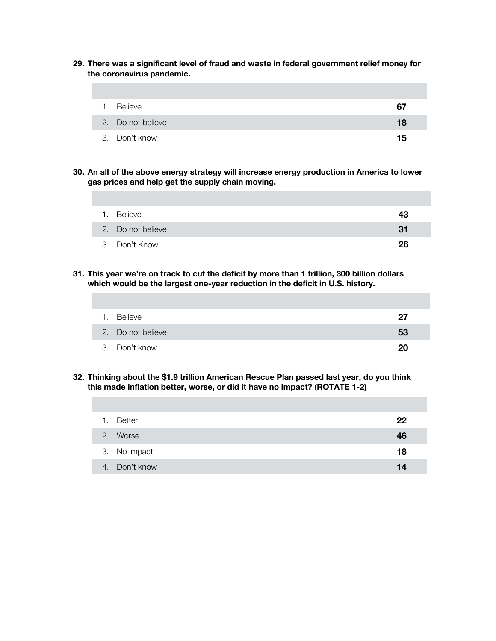**29. There was a significant level of fraud and waste in federal government relief money for the coronavirus pandemic.**

| 1. | Believe           | 67 |
|----|-------------------|----|
|    | 2. Do not believe | 18 |
|    | 3. Don't know     | 15 |

**30. An all of the above energy strategy will increase energy production in America to lower gas prices and help get the supply chain moving.**

| $\mathbf{1}$ | Believe           | 43  |
|--------------|-------------------|-----|
|              | 2. Do not believe | -31 |
|              | 3. Don't Know     | 26  |

**31. This year we're on track to cut the deficit by more than 1 trillion, 300 billion dollars which would be the largest one-year reduction in the deficit in U.S. history.** 

| Believe<br>1.     | 27 |
|-------------------|----|
| 2. Do not believe | 53 |
| 3. Don't know     | 20 |

**32. Thinking about the \$1.9 trillion American Rescue Plan passed last year, do you think this made inflation better, worse, or did it have no impact? (ROTATE 1-2)**

| 1. | <b>Better</b> | 22 |
|----|---------------|----|
|    | 2. Worse      | 46 |
|    | 3. No impact  | 18 |
|    | 4. Don't know | 14 |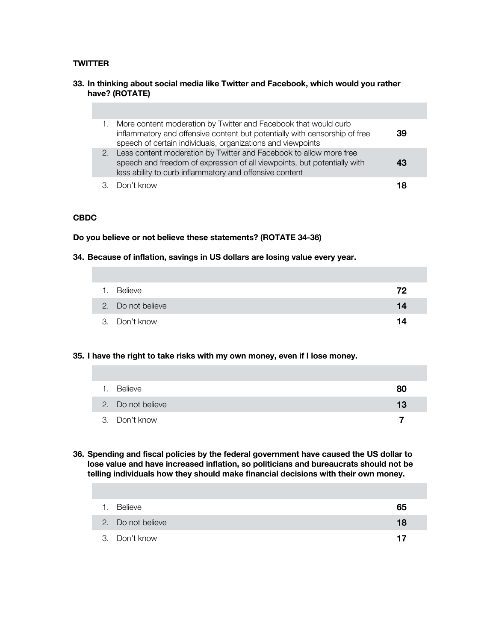## **TWITTER**

### **33. In thinking about social media like Twitter and Facebook, which would you rather have? (ROTATE)**

|  | More content moderation by Twitter and Facebook that would curb<br>inflammatory and offensive content but potentially with censorship of free<br>speech of certain individuals, organizations and viewpoints | 39 |  |
|--|--------------------------------------------------------------------------------------------------------------------------------------------------------------------------------------------------------------|----|--|
|  | 2. Less content moderation by Twitter and Facebook to allow more free<br>speech and freedom of expression of all viewpoints, but potentially with<br>less ability to curb inflammatory and offensive content | 43 |  |
|  | Don't know                                                                                                                                                                                                   | 18 |  |

### **CBDC**

### **Do you believe or not believe these statements? (ROTATE 34-36)**

#### **34. Because of inflation, savings in US dollars are losing value every year.**

| 1. Believe        | 72 |
|-------------------|----|
| 2. Do not believe | 14 |
| 3. Don't know     | 14 |

## **35. I have the right to take risks with my own money, even if I lose money.**

| 1. | Believe           | 80 |
|----|-------------------|----|
|    | 2. Do not believe | 13 |
|    | 3. Don't know     |    |

**36. Spending and fiscal policies by the federal government have caused the US dollar to lose value and have increased inflation, so politicians and bureaucrats should not be telling individuals how they should make financial decisions with their own money.** 

| 1. | Believe           | 65 |
|----|-------------------|----|
|    | 2. Do not believe | 18 |
|    | 3. Don't know     | 17 |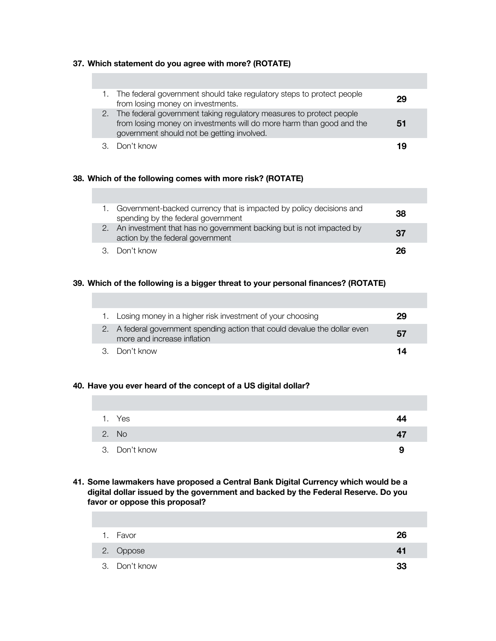## **37. Which statement do you agree with more? (ROTATE)**

| 1. The federal government should take regulatory steps to protect people<br>from losing money on investments.                                                                                | 29 |
|----------------------------------------------------------------------------------------------------------------------------------------------------------------------------------------------|----|
| 2. The federal government taking regulatory measures to protect people<br>from losing money on investments will do more harm than good and the<br>government should not be getting involved. | 51 |
| 3. Don't know                                                                                                                                                                                | 19 |

## **38. Which of the following comes with more risk? (ROTATE)**

| Government-backed currency that is impacted by policy decisions and<br>spending by the federal government  | 38 |
|------------------------------------------------------------------------------------------------------------|----|
| 2. An investment that has no government backing but is not impacted by<br>action by the federal government | 37 |
| 3. Don't know                                                                                              | 26 |

## **39. Which of the following is a bigger threat to your personal finances? (ROTATE)**

| 1. Losing money in a higher risk investment of your choosing                                              | 29 |
|-----------------------------------------------------------------------------------------------------------|----|
| 2. A federal government spending action that could devalue the dollar even<br>more and increase inflation | 57 |
| 3. Don't know                                                                                             | 14 |

## **40. Have you ever heard of the concept of a US digital dollar?**

| 1. Yes        | 44 |
|---------------|----|
| 2. No         | 47 |
| 3. Don't know | 9  |

**41. Some lawmakers have proposed a Central Bank Digital Currency which would be a digital dollar issued by the government and backed by the Federal Reserve. Do you favor or oppose this proposal?** 

| 1. Favor      | 26 |
|---------------|----|
| 2. Oppose     | 41 |
| 3. Don't know | 33 |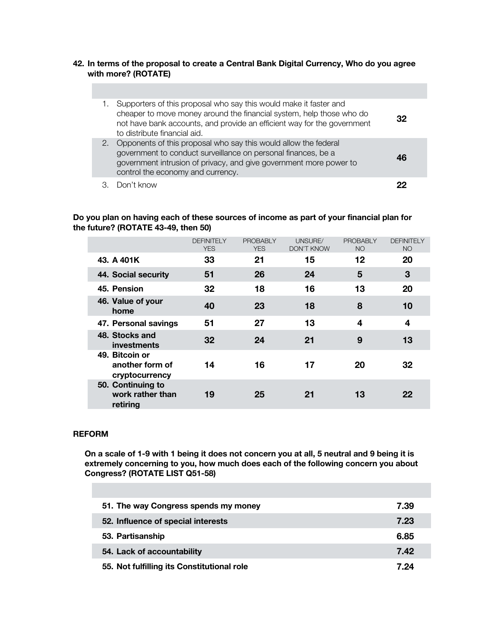#### **42. In terms of the proposal to create a Central Bank Digital Currency, Who do you agree with more? (ROTATE)**

|    | Supporters of this proposal who say this would make it faster and<br>cheaper to move money around the financial system, help those who do<br>not have bank accounts, and provide an efficient way for the government<br>to distribute financial aid. | 32 |
|----|------------------------------------------------------------------------------------------------------------------------------------------------------------------------------------------------------------------------------------------------------|----|
| 2. | Opponents of this proposal who say this would allow the federal<br>government to conduct surveillance on personal finances, be a<br>government intrusion of privacy, and give government more power to<br>control the economy and currency.          | 16 |
|    | Don't know                                                                                                                                                                                                                                           |    |

### **Do you plan on having each of these sources of income as part of your financial plan for the future? (ROTATE 43-49, then 50)**

|                                                     | <b>DEFINITELY</b><br><b>YES</b> | <b>PROBABLY</b><br><b>YES</b> | UNSURE/<br><b>DON'T KNOW</b> | <b>PROBABLY</b><br><b>NO</b> | <b>DEFINITELY</b><br><b>NO</b> |
|-----------------------------------------------------|---------------------------------|-------------------------------|------------------------------|------------------------------|--------------------------------|
| 43. A 401K                                          | 33                              | 21                            | 15                           | $12 \,$                      | 20                             |
| 44. Social security                                 | 51                              | 26                            | 24                           | 5                            | 3                              |
| 45. Pension                                         | 32                              | 18                            | 16                           | 13                           | 20                             |
| 46. Value of your<br>home                           | 40                              | 23                            | 18                           | 8                            | 10                             |
| 47. Personal savings                                | 51                              | 27                            | 13                           | 4                            | 4                              |
| 48. Stocks and<br>investments                       | 32                              | 24                            | 21                           | 9                            | 13                             |
| 49. Bitcoin or<br>another form of<br>cryptocurrency | 14                              | 16                            | 17                           | 20                           | 32                             |
| 50. Continuing to<br>work rather than<br>retiring   | 19                              | 25                            | 21                           | 13                           | 22                             |

### **REFORM**

**On a scale of 1-9 with 1 being it does not concern you at all, 5 neutral and 9 being it is extremely concerning to you, how much does each of the following concern you about Congress? (ROTATE LIST Q51-58)**

| 51. The way Congress spends my money       | 7.39 |
|--------------------------------------------|------|
| 52. Influence of special interests         | 7.23 |
| 53. Partisanship                           | 6.85 |
| 54. Lack of accountability                 | 7.42 |
| 55. Not fulfilling its Constitutional role | 7.24 |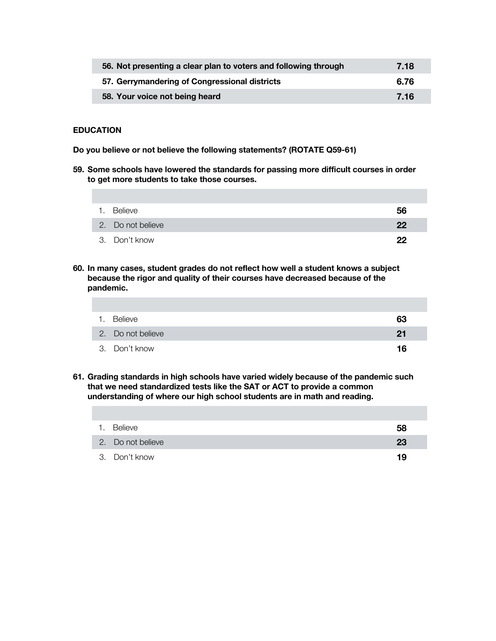| 56. Not presenting a clear plan to voters and following through | 7.18 |
|-----------------------------------------------------------------|------|
| 57. Gerrymandering of Congressional districts                   | 6.76 |
| 58. Your voice not being heard                                  | 7.16 |

### **EDUCATION**

**Do you believe or not believe the following statements? (ROTATE Q59-61)**

**59. Some schools have lowered the standards for passing more difficult courses in order to get more students to take those courses.**

| <b>Believe</b>    | 56 |
|-------------------|----|
| 2. Do not believe | 22 |
| 3. Don't know     | 22 |

**60. In many cases, student grades do not reflect how well a student knows a subject because the rigor and quality of their courses have decreased because of the pandemic.**

| 1. | Believe           | 63 |
|----|-------------------|----|
|    | 2. Do not believe | 21 |
|    | 3. Don't know     | 16 |

**61. Grading standards in high schools have varied widely because of the pandemic such that we need standardized tests like the SAT or ACT to provide a common understanding of where our high school students are in math and reading.**

| 1. Believe        | 58 |
|-------------------|----|
| 2. Do not believe | 23 |
| 3. Don't know     | 19 |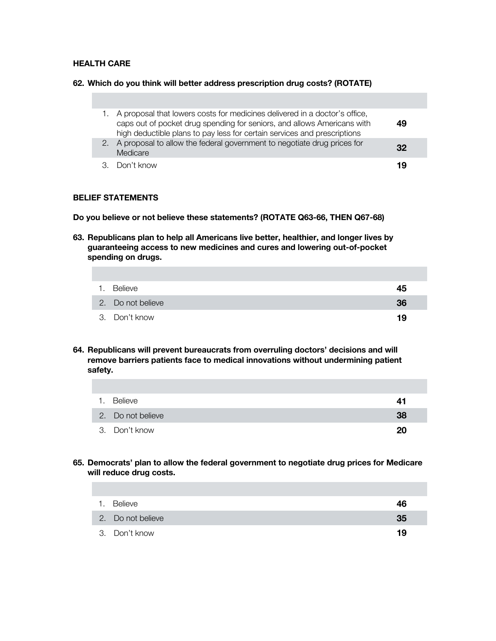#### **HEALTH CARE**

#### **62. Which do you think will better address prescription drug costs? (ROTATE)**

|  | 1. A proposal that lowers costs for medicines delivered in a doctor's office,<br>caps out of pocket drug spending for seniors, and allows Americans with<br>high deductible plans to pay less for certain services and prescriptions | 49 |  |
|--|--------------------------------------------------------------------------------------------------------------------------------------------------------------------------------------------------------------------------------------|----|--|
|  | 2. A proposal to allow the federal government to negotiate drug prices for<br>Medicare                                                                                                                                               | 32 |  |
|  | 3. Don't know                                                                                                                                                                                                                        | 19 |  |

### **BELIEF STATEMENTS**

**Do you believe or not believe these statements? (ROTATE Q63-66, THEN Q67-68)** 

**63. Republicans plan to help all Americans live better, healthier, and longer lives by guaranteeing access to new medicines and cures and lowering out-of-pocket spending on drugs.** 

| 1. Believe        | 45 |
|-------------------|----|
| 2. Do not believe | 36 |
| 3. Don't know     | 19 |

**64. Republicans will prevent bureaucrats from overruling doctors' decisions and will remove barriers patients face to medical innovations without undermining patient safety.**

| 1. Believe        | 41 |
|-------------------|----|
| 2. Do not believe | 38 |
| 3. Don't know     | 20 |

**65. Democrats' plan to allow the federal government to negotiate drug prices for Medicare will reduce drug costs.** 

| $\mathbf{1}$ . | Believe           | 46 |
|----------------|-------------------|----|
|                | 2. Do not believe | 35 |
|                | 3. Don't know     | 19 |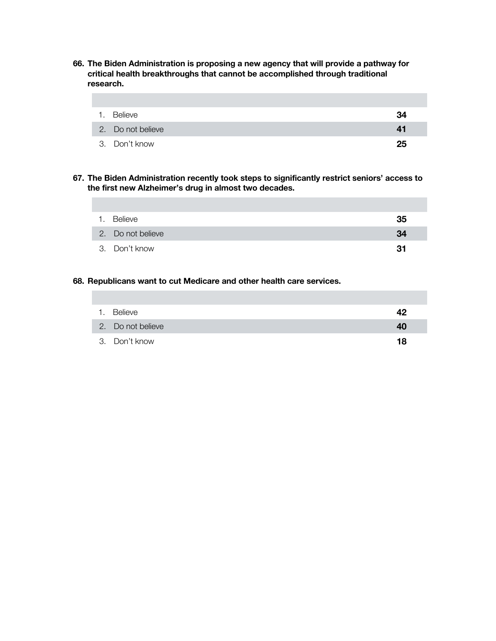**66. The Biden Administration is proposing a new agency that will provide a pathway for critical health breakthroughs that cannot be accomplished through traditional research.**

| 1. | Believe           | 34 |
|----|-------------------|----|
|    | 2. Do not believe | 41 |
|    | 3. Don't know     | 25 |

**67. The Biden Administration recently took steps to significantly restrict seniors' access to the first new Alzheimer's drug in almost two decades.** 

| $\mathbf{1}$ . | Believe           | 35 |
|----------------|-------------------|----|
|                | 2. Do not believe | 34 |
|                | 3. Don't know     | 31 |

## **68. Republicans want to cut Medicare and other health care services.**

| 1. Believe        | 42 |
|-------------------|----|
| 2. Do not believe | 40 |
| 3. Don't know     | 18 |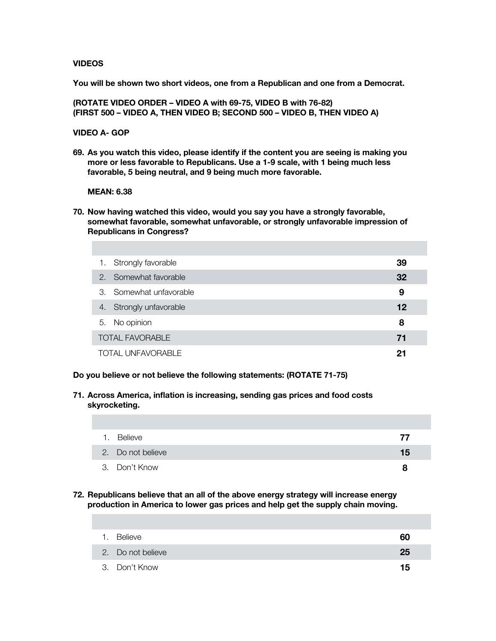#### **VIDEOS**

**You will be shown two short videos, one from a Republican and one from a Democrat.** 

**(ROTATE VIDEO ORDER – VIDEO A with 69-75, VIDEO B with 76-82) (FIRST 500 – VIDEO A, THEN VIDEO B; SECOND 500 – VIDEO B, THEN VIDEO A)**

## **VIDEO A- GOP**

**69. As you watch this video, please identify if the content you are seeing is making you more or less favorable to Republicans. Use a 1-9 scale, with 1 being much less favorable, 5 being neutral, and 9 being much more favorable.**

#### **MEAN: 6.38**

**70. Now having watched this video, would you say you have a strongly favorable, somewhat favorable, somewhat unfavorable, or strongly unfavorable impression of Republicans in Congress?**

| 1. | Strongly favorable       | 39 |
|----|--------------------------|----|
|    | 2. Somewhat favorable    | 32 |
|    | 3. Somewhat unfavorable  | 9  |
| 4. | Strongly unfavorable     | 12 |
| 5. | No opinion               | 8  |
|    | <b>TOTAL FAVORABLE</b>   | 71 |
|    | <b>TOTAL UNFAVORABLE</b> | 21 |

- **Do you believe or not believe the following statements: (ROTATE 71-75)**
- **71. Across America, inflation is increasing, sending gas prices and food costs skyrocketing.**

| Believe<br>1.     | 77 |
|-------------------|----|
| 2. Do not believe | 15 |
| 3. Don't Know     | я  |

**72. Republicans believe that an all of the above energy strategy will increase energy production in America to lower gas prices and help get the supply chain moving.**

| Believe           | 60 |
|-------------------|----|
| 2. Do not believe | 25 |
| 3. Don't Know     | 15 |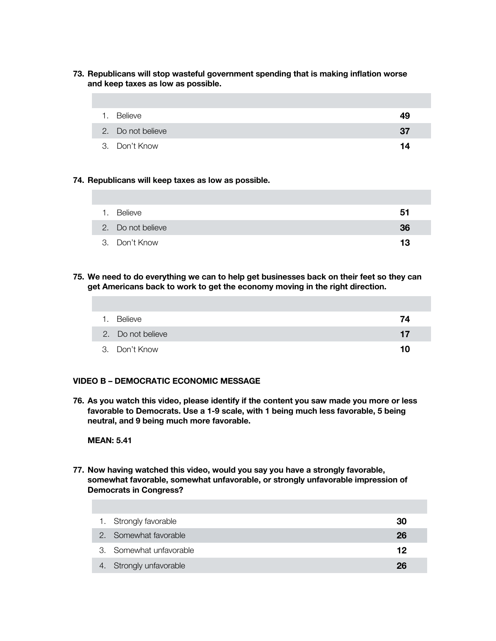**73. Republicans will stop wasteful government spending that is making inflation worse and keep taxes as low as possible.**

| 1. Believe        | 49  |
|-------------------|-----|
| 2. Do not believe | -37 |
| 3. Don't Know     | 14  |

#### **74. Republicans will keep taxes as low as possible.**

| 1. | Believe           | 51 |
|----|-------------------|----|
|    | 2. Do not believe | 36 |
|    | 3. Don't Know     | 13 |

**75. We need to do everything we can to help get businesses back on their feet so they can get Americans back to work to get the economy moving in the right direction.**

| Believe<br>1.     | 74 |
|-------------------|----|
| 2. Do not believe | 17 |
| 3. Don't Know     | 10 |

## **VIDEO B – DEMOCRATIC ECONOMIC MESSAGE**

**76. As you watch this video, please identify if the content you saw made you more or less favorable to Democrats. Use a 1-9 scale, with 1 being much less favorable, 5 being neutral, and 9 being much more favorable.**

#### **MEAN: 5.41**

**77. Now having watched this video, would you say you have a strongly favorable, somewhat favorable, somewhat unfavorable, or strongly unfavorable impression of Democrats in Congress?**

| 1. Strongly favorable   | 30 |
|-------------------------|----|
| 2. Somewhat favorable   | 26 |
| 3. Somewhat unfavorable | 12 |
| 4. Strongly unfavorable | 26 |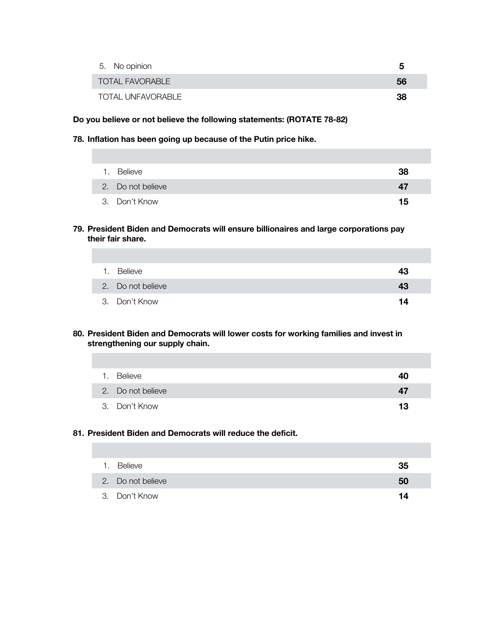| 5. No opinion          | h   |
|------------------------|-----|
| <b>TOTAL FAVORABLE</b> | 56  |
| TOTAL UNFAVORABLE      | -38 |

## **Do you believe or not believe the following statements: (ROTATE 78-82)**

#### **78. Inflation has been going up because of the Putin price hike.**

| 1. Believe        | 38 |
|-------------------|----|
| 2. Do not believe | 47 |
| 3. Don't Know     | 15 |

**79. President Biden and Democrats will ensure billionaires and large corporations pay their fair share.**

| Believe           | 43 |
|-------------------|----|
| 2. Do not believe | 43 |
| 3. Don't Know     | 14 |

### **80. President Biden and Democrats will lower costs for working families and invest in strengthening our supply chain.**

| 1. | Believe           | 40 |
|----|-------------------|----|
|    | 2. Do not believe | 47 |
|    | 3. Don't Know     | 13 |

## **81. President Biden and Democrats will reduce the deficit.**

| 1. Believe        | 35 |
|-------------------|----|
| 2. Do not believe | 50 |
| 3. Don't Know     | 14 |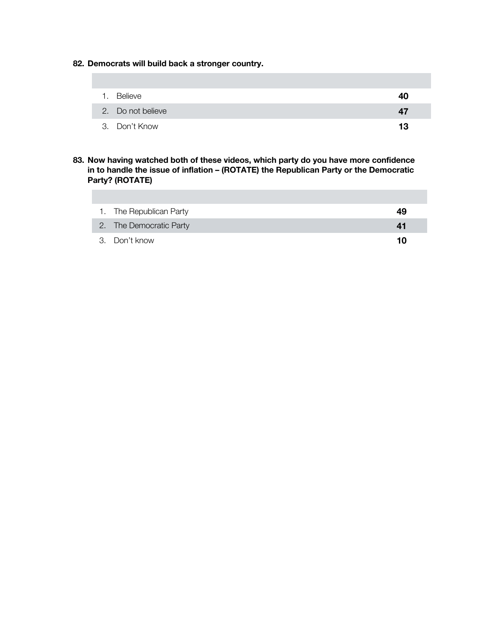**82. Democrats will build back a stronger country.**

| 1. Believe        | 40 |
|-------------------|----|
| 2. Do not believe | 47 |
| 3. Don't Know     | 13 |

**83. Now having watched both of these videos, which party do you have more confidence in to handle the issue of inflation – (ROTATE) the Republican Party or the Democratic Party? (ROTATE)**

| 1. The Republican Party | 49 |
|-------------------------|----|
| 2. The Democratic Party | 41 |
| 3. Don't know           | 10 |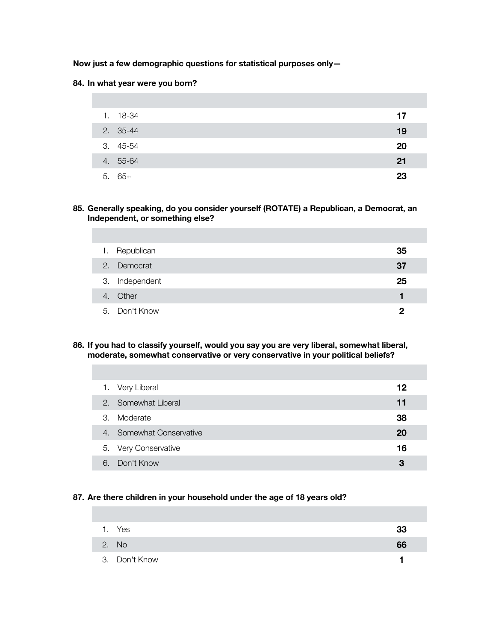### **Now just a few demographic questions for statistical purposes only—**

#### **84. In what year were you born?**

| 1. 18-34 | 17 |
|----------|----|
| 2. 35-44 | 19 |
| 3. 45-54 | 20 |
| 4. 55-64 | 21 |
| $5.65+$  | 23 |

### **85. Generally speaking, do you consider yourself (ROTATE) a Republican, a Democrat, an Independent, or something else?**

| 1. Republican  | 35 |
|----------------|----|
| 2. Democrat    | 37 |
| 3. Independent | 25 |
| 4. Other       |    |
| 5. Don't Know  | 0  |

## **86. If you had to classify yourself, would you say you are very liberal, somewhat liberal, moderate, somewhat conservative or very conservative in your political beliefs?**

|               | 1. Very Liberal          | 12 |
|---------------|--------------------------|----|
|               | 2. Somewhat Liberal      | 11 |
| $\mathcal{S}$ | Moderate                 | 38 |
|               | 4. Somewhat Conservative | 20 |
|               | 5. Very Conservative     | 16 |
| 6.            | Don't Know               | 3  |

### **87. Are there children in your household under the age of 18 years old?**

| 1. Yes        | 33 |
|---------------|----|
| 2. No         | 66 |
| 3. Don't Know |    |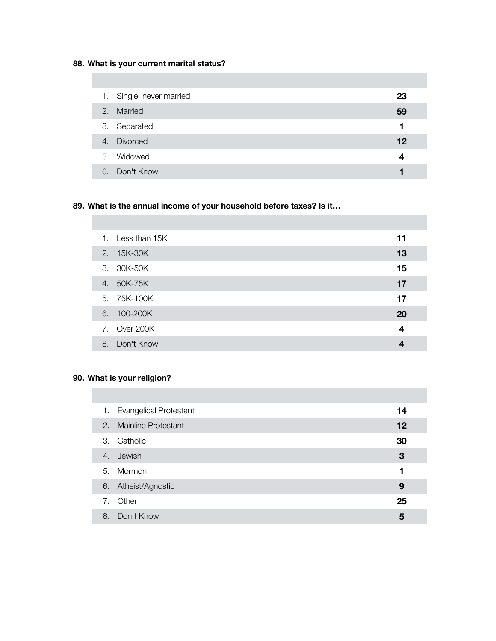# **88. What is your current marital status?**

|    | 1. Single, never married | 23 |
|----|--------------------------|----|
| 2. | Married                  | 59 |
|    | 3. Separated             |    |
| 4. | Divorced                 | 12 |
|    | 5. Widowed               | 4  |
| 6. | Don't Know               |    |

# **89. What is the annual income of your household before taxes? Is it…**

| 1. | Less than 15K | 11 |
|----|---------------|----|
|    | 2. 15K-30K    | 13 |
|    | 3. 30K-50K    | 15 |
|    | 4. 50K-75K    | 17 |
|    | 5. 75K-100K   | 17 |
|    | 6. 100-200K   | 20 |
|    | 7. Over 200K  | 4  |
| 8. | Don't Know    |    |
|    |               |    |

## **90. What is your religion?**

| 1. | <b>Evangelical Protestant</b> | 14 |
|----|-------------------------------|----|
|    | 2. Mainline Protestant        | 12 |
| 3. | Catholic                      | 30 |
|    | 4. Jewish                     | 3  |
|    | 5. Mormon                     | 1  |
|    | 6. Atheist/Agnostic           | 9  |
| 7. | Other                         | 25 |
| 8. | Don't Know                    | 5  |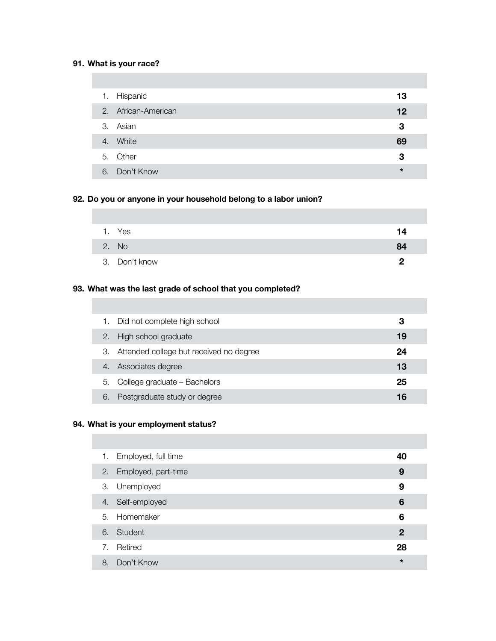## **91. What is your race?**

| 1. | Hispanic            | 13      |
|----|---------------------|---------|
|    | 2. African-American | 12      |
|    | 3. Asian            | 3       |
|    | 4. White            | 69      |
|    | 5. Other            | 3       |
| 6. | Don't Know          | $\star$ |

## **92. Do you or anyone in your household belong to a labor union?**

| 1. Yes        | 14 |
|---------------|----|
| 2. No         | 84 |
| 3. Don't know | כי |

## **93. What was the last grade of school that you completed?**

|    | Did not complete high school            | 3  |
|----|-----------------------------------------|----|
| 2. | High school graduate                    | 19 |
| З. | Attended college but received no degree | 24 |
| 4. | Associates degree                       | 13 |
| 5. | College graduate - Bachelors            | 25 |
| 6. | Postgraduate study or degree            | 16 |

# **94. What is your employment status?**

|    | 1. Employed, full time | 40             |
|----|------------------------|----------------|
|    | 2. Employed, part-time | 9              |
|    | 3. Unemployed          | 9              |
|    | 4. Self-employed       | 6              |
|    | 5. Homemaker           | 6              |
|    | 6. Student             | $\overline{2}$ |
|    | 7. Retired             | 28             |
| 8. | Don't Know             | $\star$        |